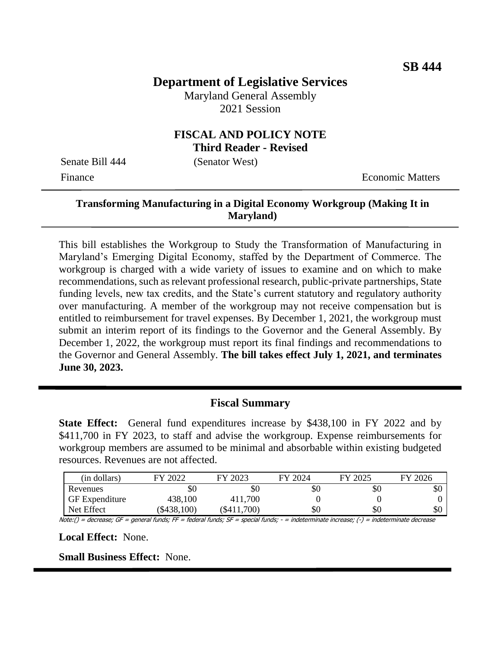## **Department of Legislative Services**

Maryland General Assembly 2021 Session

#### **FISCAL AND POLICY NOTE Third Reader - Revised**

Senate Bill 444 (Senator West)

Finance **Exercífical Economic Matters** 

#### **Transforming Manufacturing in a Digital Economy Workgroup (Making It in Maryland)**

This bill establishes the Workgroup to Study the Transformation of Manufacturing in Maryland's Emerging Digital Economy, staffed by the Department of Commerce. The workgroup is charged with a wide variety of issues to examine and on which to make recommendations, such as relevant professional research, public-private partnerships, State funding levels, new tax credits, and the State's current statutory and regulatory authority over manufacturing. A member of the workgroup may not receive compensation but is entitled to reimbursement for travel expenses. By December 1, 2021, the workgroup must submit an interim report of its findings to the Governor and the General Assembly. By December 1, 2022, the workgroup must report its final findings and recommendations to the Governor and General Assembly. **The bill takes effect July 1, 2021, and terminates June 30, 2023.** 

#### **Fiscal Summary**

**State Effect:** General fund expenditures increase by \$438,100 in FY 2022 and by \$411,700 in FY 2023, to staff and advise the workgroup. Expense reimbursements for workgroup members are assumed to be minimal and absorbable within existing budgeted resources. Revenues are not affected.

| (in dollars)          | 2022      | FY 2023       | FY 2024 | FY 2025 | FY 2026 |
|-----------------------|-----------|---------------|---------|---------|---------|
| Revenues              | \$0       | \$0           | \$0     | \$0     | УU      |
| <b>GF</b> Expenditure | 438,100   | 411,700       |         |         |         |
| Net Effect            | \$438,100 | $(\$411,700)$ | \$0     | \$0     | \$0     |

Note:() = decrease; GF = general funds; FF = federal funds; SF = special funds; - = indeterminate increase; (-) = indeterminate decrease

**Local Effect:** None.

**Small Business Effect:** None.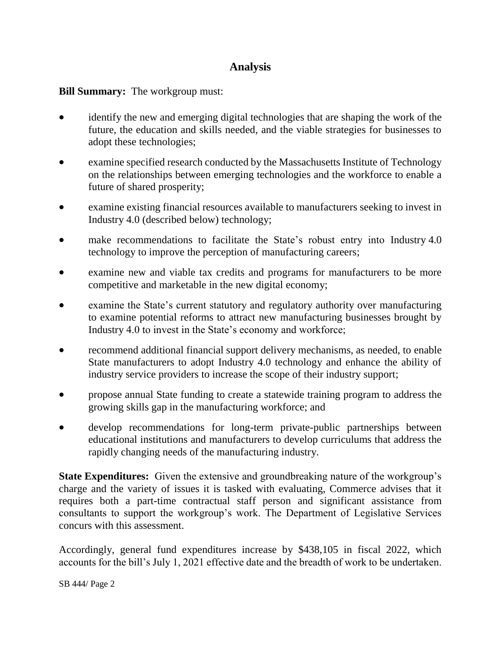# **Analysis**

### **Bill Summary:** The workgroup must:

- identify the new and emerging digital technologies that are shaping the work of the future, the education and skills needed, and the viable strategies for businesses to adopt these technologies;
- examine specified research conducted by the Massachusetts Institute of Technology on the relationships between emerging technologies and the workforce to enable a future of shared prosperity;
- examine existing financial resources available to manufacturers seeking to invest in Industry 4.0 (described below) technology;
- make recommendations to facilitate the State's robust entry into Industry 4.0 technology to improve the perception of manufacturing careers;
- examine new and viable tax credits and programs for manufacturers to be more competitive and marketable in the new digital economy;
- examine the State's current statutory and regulatory authority over manufacturing to examine potential reforms to attract new manufacturing businesses brought by Industry 4.0 to invest in the State's economy and workforce;
- recommend additional financial support delivery mechanisms, as needed, to enable State manufacturers to adopt Industry 4.0 technology and enhance the ability of industry service providers to increase the scope of their industry support;
- propose annual State funding to create a statewide training program to address the growing skills gap in the manufacturing workforce; and
- develop recommendations for long-term private-public partnerships between educational institutions and manufacturers to develop curriculums that address the rapidly changing needs of the manufacturing industry.

**State Expenditures:** Given the extensive and groundbreaking nature of the workgroup's charge and the variety of issues it is tasked with evaluating, Commerce advises that it requires both a part-time contractual staff person and significant assistance from consultants to support the workgroup's work. The Department of Legislative Services concurs with this assessment.

Accordingly, general fund expenditures increase by \$438,105 in fiscal 2022, which accounts for the bill's July 1, 2021 effective date and the breadth of work to be undertaken.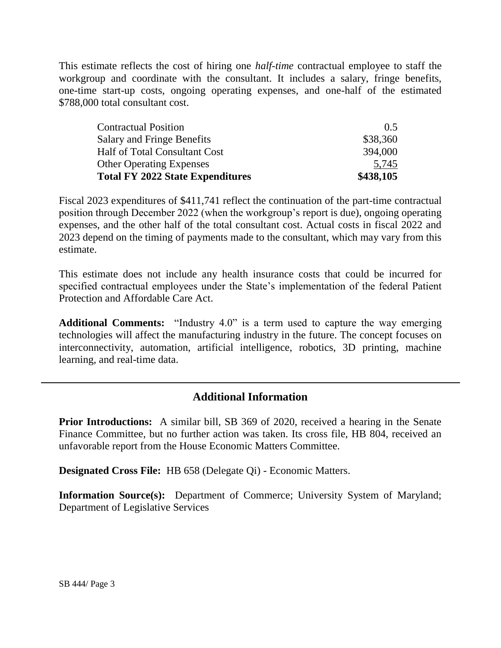This estimate reflects the cost of hiring one *half-time* contractual employee to staff the workgroup and coordinate with the consultant. It includes a salary, fringe benefits, one-time start-up costs, ongoing operating expenses, and one-half of the estimated \$788,000 total consultant cost.

| \$438,105 |
|-----------|
| 5,745     |
| 394,000   |
| \$38,360  |
| 0.5       |
|           |

Fiscal 2023 expenditures of \$411,741 reflect the continuation of the part-time contractual position through December 2022 (when the workgroup's report is due), ongoing operating expenses, and the other half of the total consultant cost. Actual costs in fiscal 2022 and 2023 depend on the timing of payments made to the consultant, which may vary from this estimate.

This estimate does not include any health insurance costs that could be incurred for specified contractual employees under the State's implementation of the federal Patient Protection and Affordable Care Act.

**Additional Comments:** "Industry 4.0" is a term used to capture the way emerging technologies will affect the manufacturing industry in the future. The concept focuses on interconnectivity, automation, artificial intelligence, robotics, 3D printing, machine learning, and real-time data.

## **Additional Information**

**Prior Introductions:** A similar bill, SB 369 of 2020, received a hearing in the Senate Finance Committee, but no further action was taken. Its cross file, HB 804, received an unfavorable report from the House Economic Matters Committee.

**Designated Cross File:** HB 658 (Delegate Qi) - Economic Matters.

**Information Source(s):** Department of Commerce; University System of Maryland; Department of Legislative Services